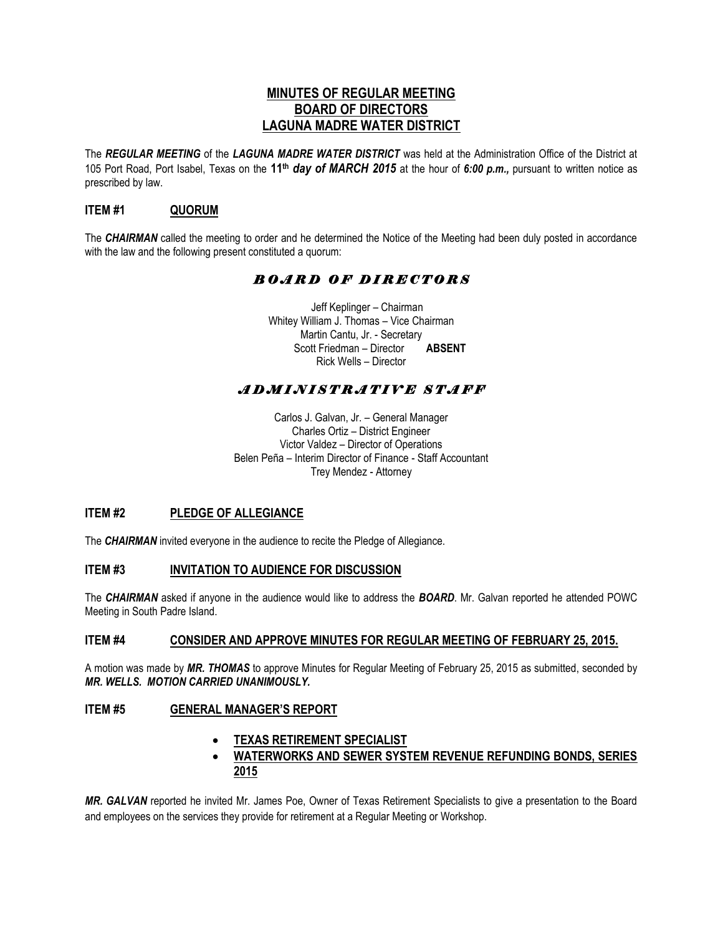## **MINUTES OF REGULAR MEETING BOARD OF DIRECTORS LAGUNA MADRE WATER DISTRICT**

The *REGULAR MEETING* of the *LAGUNA MADRE WATER DISTRICT* was held at the Administration Office of the District at 105 Port Road, Port Isabel, Texas on the **11th** *day of MARCH 2015* at the hour of *6:00 p.m.,* pursuant to written notice as prescribed by law.

## **ITEM #1 QUORUM**

The *CHAIRMAN* called the meeting to order and he determined the Notice of the Meeting had been duly posted in accordance with the law and the following present constituted a quorum:

# *B O A R D O F D I R E C T O R S*

 Jeff Keplinger – Chairman Whitey William J. Thomas – Vice Chairman Martin Cantu, Jr. - Secretary Scott Friedman – Director **ABSENT** Rick Wells – Director

# *A D M I N I S T R A T I V E S T A F F*

Carlos J. Galvan, Jr. – General Manager Charles Ortiz – District Engineer Victor Valdez – Director of Operations Belen Peña – Interim Director of Finance - Staff Accountant Trey Mendez - Attorney

#### **ITEM #2 PLEDGE OF ALLEGIANCE**

The *CHAIRMAN* invited everyone in the audience to recite the Pledge of Allegiance.

#### **ITEM #3 INVITATION TO AUDIENCE FOR DISCUSSION**

The *CHAIRMAN* asked if anyone in the audience would like to address the *BOARD*. Mr. Galvan reported he attended POWC Meeting in South Padre Island.

#### **ITEM #4 CONSIDER AND APPROVE MINUTES FOR REGULAR MEETING OF FEBRUARY 25, 2015.**

A motion was made by *MR. THOMAS* to approve Minutes for Regular Meeting of February 25, 2015 as submitted, seconded by *MR. WELLS. MOTION CARRIED UNANIMOUSLY.* 

#### **ITEM #5 GENERAL MANAGER'S REPORT**

#### **TEXAS RETIREMENT SPECIALIST**

### **WATERWORKS AND SEWER SYSTEM REVENUE REFUNDING BONDS, SERIES 2015**

*MR. GALVAN* reported he invited Mr. James Poe, Owner of Texas Retirement Specialists to give a presentation to the Board and employees on the services they provide for retirement at a Regular Meeting or Workshop.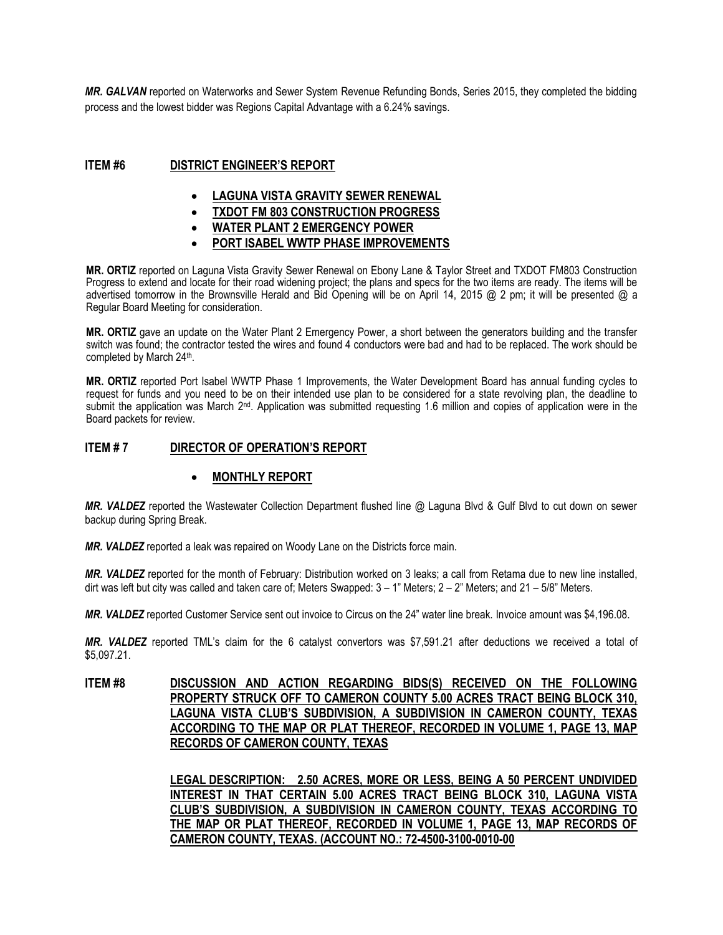*MR. GALVAN* reported on Waterworks and Sewer System Revenue Refunding Bonds, Series 2015, they completed the bidding process and the lowest bidder was Regions Capital Advantage with a 6.24% savings.

#### **ITEM #6 DISTRICT ENGINEER'S REPORT**

- **LAGUNA VISTA GRAVITY SEWER RENEWAL**
- **TXDOT FM 803 CONSTRUCTION PROGRESS**
- **WATER PLANT 2 EMERGENCY POWER**
- **PORT ISABEL WWTP PHASE IMPROVEMENTS**

**MR. ORTIZ** reported on Laguna Vista Gravity Sewer Renewal on Ebony Lane & Taylor Street and TXDOT FM803 Construction Progress to extend and locate for their road widening project; the plans and specs for the two items are ready. The items will be advertised tomorrow in the Brownsville Herald and Bid Opening will be on April 14, 2015 @ 2 pm; it will be presented @ a Regular Board Meeting for consideration.

**MR. ORTIZ** gave an update on the Water Plant 2 Emergency Power, a short between the generators building and the transfer switch was found; the contractor tested the wires and found 4 conductors were bad and had to be replaced. The work should be completed by March 24<sup>th</sup>.

**MR. ORTIZ** reported Port Isabel WWTP Phase 1 Improvements, the Water Development Board has annual funding cycles to request for funds and you need to be on their intended use plan to be considered for a state revolving plan, the deadline to submit the application was March 2<sup>nd</sup>. Application was submitted requesting 1.6 million and copies of application were in the Board packets for review.

### **ITEM # 7 DIRECTOR OF OPERATION'S REPORT**

#### **MONTHLY REPORT**

*MR. VALDEZ* reported the Wastewater Collection Department flushed line @ Laguna Blvd & Gulf Blvd to cut down on sewer backup during Spring Break.

*MR. VALDEZ* reported a leak was repaired on Woody Lane on the Districts force main.

*MR. VALDEZ* reported for the month of February: Distribution worked on 3 leaks; a call from Retama due to new line installed, dirt was left but city was called and taken care of; Meters Swapped:  $3 - 1$ " Meters;  $2 - 2$ " Meters; and  $21 - 5/8$ " Meters.

*MR. VALDEZ* reported Customer Service sent out invoice to Circus on the 24" water line break. Invoice amount was \$4,196.08.

*MR. VALDEZ* reported TML's claim for the 6 catalyst convertors was \$7,591.21 after deductions we received a total of \$5,097.21.

**ITEM #8 DISCUSSION AND ACTION REGARDING BIDS(S) RECEIVED ON THE FOLLOWING PROPERTY STRUCK OFF TO CAMERON COUNTY 5.00 ACRES TRACT BEING BLOCK 310, LAGUNA VISTA CLUB'S SUBDIVISION, A SUBDIVISION IN CAMERON COUNTY, TEXAS ACCORDING TO THE MAP OR PLAT THEREOF, RECORDED IN VOLUME 1, PAGE 13, MAP RECORDS OF CAMERON COUNTY, TEXAS**

> **LEGAL DESCRIPTION: 2.50 ACRES, MORE OR LESS, BEING A 50 PERCENT UNDIVIDED INTEREST IN THAT CERTAIN 5.00 ACRES TRACT BEING BLOCK 310, LAGUNA VISTA CLUB'S SUBDIVISION, A SUBDIVISION IN CAMERON COUNTY, TEXAS ACCORDING TO THE MAP OR PLAT THEREOF, RECORDED IN VOLUME 1, PAGE 13, MAP RECORDS OF CAMERON COUNTY, TEXAS. (ACCOUNT NO.: 72-4500-3100-0010-00**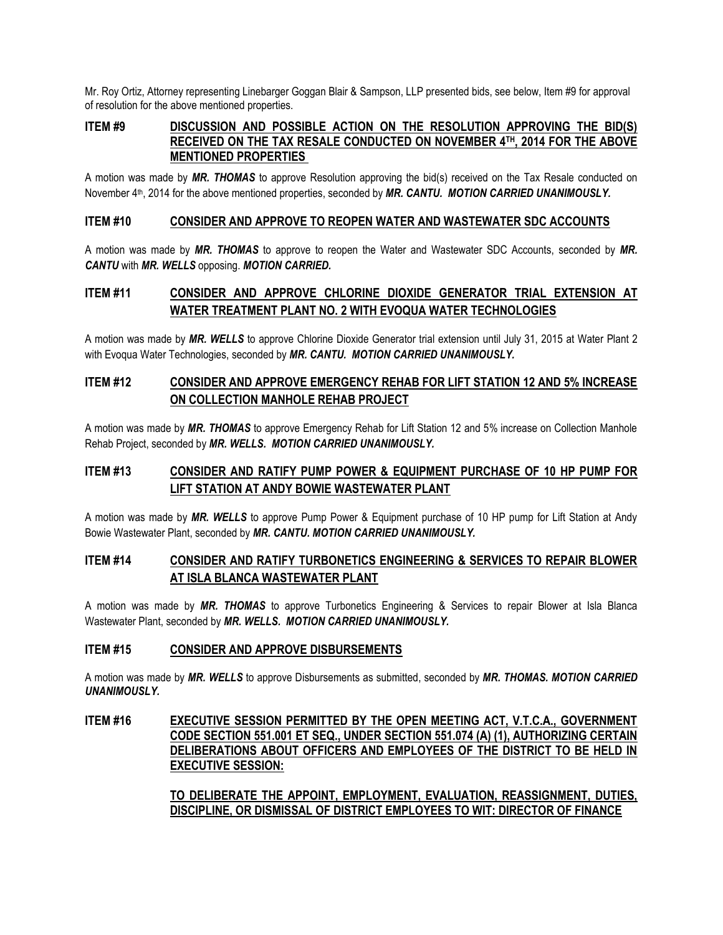Mr. Roy Ortiz, Attorney representing Linebarger Goggan Blair & Sampson, LLP presented bids, see below, Item #9 for approval of resolution for the above mentioned properties.

### **ITEM #9 DISCUSSION AND POSSIBLE ACTION ON THE RESOLUTION APPROVING THE BID(S) RECEIVED ON THE TAX RESALE CONDUCTED ON NOVEMBER 4TH, 2014 FOR THE ABOVE MENTIONED PROPERTIES**

A motion was made by *MR. THOMAS* to approve Resolution approving the bid(s) received on the Tax Resale conducted on November 4th, 2014 for the above mentioned properties, seconded by *MR. CANTU. MOTION CARRIED UNANIMOUSLY.*

#### **ITEM #10 CONSIDER AND APPROVE TO REOPEN WATER AND WASTEWATER SDC ACCOUNTS**

A motion was made by *MR. THOMAS* to approve to reopen the Water and Wastewater SDC Accounts, seconded by *MR. CANTU* with *MR. WELLS* opposing. *MOTION CARRIED.*

# **ITEM #11 CONSIDER AND APPROVE CHLORINE DIOXIDE GENERATOR TRIAL EXTENSION AT WATER TREATMENT PLANT NO. 2 WITH EVOQUA WATER TECHNOLOGIES**

A motion was made by *MR. WELLS* to approve Chlorine Dioxide Generator trial extension until July 31, 2015 at Water Plant 2 with Evoqua Water Technologies, seconded by *MR. CANTU. MOTION CARRIED UNANIMOUSLY.*

## **ITEM #12 CONSIDER AND APPROVE EMERGENCY REHAB FOR LIFT STATION 12 AND 5% INCREASE ON COLLECTION MANHOLE REHAB PROJECT**

A motion was made by *MR. THOMAS* to approve Emergency Rehab for Lift Station 12 and 5% increase on Collection Manhole Rehab Project, seconded by *MR. WELLS. MOTION CARRIED UNANIMOUSLY.*

## **ITEM #13 CONSIDER AND RATIFY PUMP POWER & EQUIPMENT PURCHASE OF 10 HP PUMP FOR LIFT STATION AT ANDY BOWIE WASTEWATER PLANT**

A motion was made by *MR. WELLS* to approve Pump Power & Equipment purchase of 10 HP pump for Lift Station at Andy Bowie Wastewater Plant, seconded by *MR. CANTU. MOTION CARRIED UNANIMOUSLY.*

## **ITEM #14 CONSIDER AND RATIFY TURBONETICS ENGINEERING & SERVICES TO REPAIR BLOWER AT ISLA BLANCA WASTEWATER PLANT**

A motion was made by *MR. THOMAS* to approve Turbonetics Engineering & Services to repair Blower at Isla Blanca Wastewater Plant, seconded by *MR. WELLS. MOTION CARRIED UNANIMOUSLY.*

#### **ITEM #15 CONSIDER AND APPROVE DISBURSEMENTS**

A motion was made by *MR. WELLS* to approve Disbursements as submitted, seconded by *MR. THOMAS. MOTION CARRIED UNANIMOUSLY.*

### **ITEM #16 EXECUTIVE SESSION PERMITTED BY THE OPEN MEETING ACT, V.T.C.A., GOVERNMENT CODE SECTION 551.001 ET SEQ., UNDER SECTION 551.074 (A) (1), AUTHORIZING CERTAIN DELIBERATIONS ABOUT OFFICERS AND EMPLOYEES OF THE DISTRICT TO BE HELD IN EXECUTIVE SESSION:**

**TO DELIBERATE THE APPOINT, EMPLOYMENT, EVALUATION, REASSIGNMENT, DUTIES, DISCIPLINE, OR DISMISSAL OF DISTRICT EMPLOYEES TO WIT: DIRECTOR OF FINANCE**